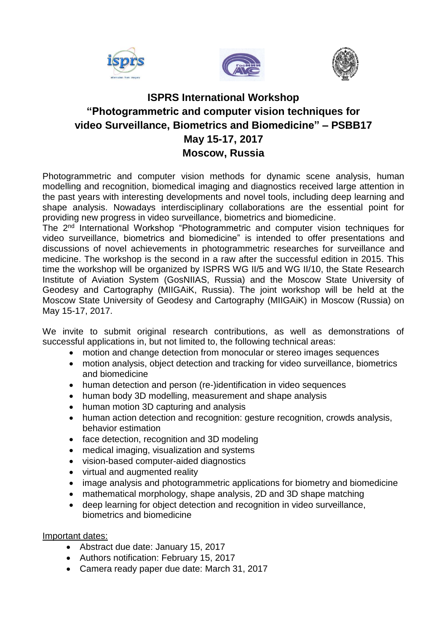





# **ISPRS International Workshop "Photogrammetric and computer vision techniques for video Surveillance, Biometrics and Biomedicine" – PSBB17 May 15-17, 2017 Moscow, Russia**

Photogrammetric and computer vision methods for dynamic scene analysis, human modelling and recognition, biomedical imaging and diagnostics received large attention in the past years with interesting developments and novel tools, including deep learning and shape analysis. Nowadays interdisciplinary collaborations are the essential point for providing new progress in video surveillance, biometrics and biomedicine.

The 2<sup>nd</sup> International Workshop "Photogrammetric and computer vision techniques for video surveillance, biometrics and biomedicine" is intended to offer presentations and discussions of novel achievements in photogrammetric researches for surveillance and medicine. The workshop is the second in a raw after the successful edition in 2015. This time the workshop will be organized by ISPRS WG II/5 and WG II/10, the State Research Institute of Aviation System (GosNIIAS, Russia) and the Moscow State University of Geodesy and Cartography (MIIGAiK, Russia). The joint workshop will be held at the Moscow State University of Geodesy and Cartography (MIIGAiK) in Moscow (Russia) on May 15-17, 2017.

We invite to submit original research contributions, as well as demonstrations of successful applications in, but not limited to, the following technical areas:

- motion and change detection from monocular or stereo images sequences
- motion analysis, object detection and tracking for video surveillance, biometrics and biomedicine
- human detection and person (re-)identification in video sequences
- human body 3D modelling, measurement and shape analysis
- human motion 3D capturing and analysis
- human action detection and recognition: gesture recognition, crowds analysis, behavior estimation
- face detection, recognition and 3D modeling
- medical imaging, visualization and systems
- vision-based computer-aided diagnostics
- virtual and augmented reality
- image analysis and photogrammetric applications for biometry and biomedicine
- mathematical morphology, shape analysis, 2D and 3D shape matching
- deep learning for object detection and recognition in video surveillance, biometrics and biomedicine

## Important dates:

- Abstract due date: January 15, 2017
- Authors notification: February 15, 2017
- Camera ready paper due date: March 31, 2017